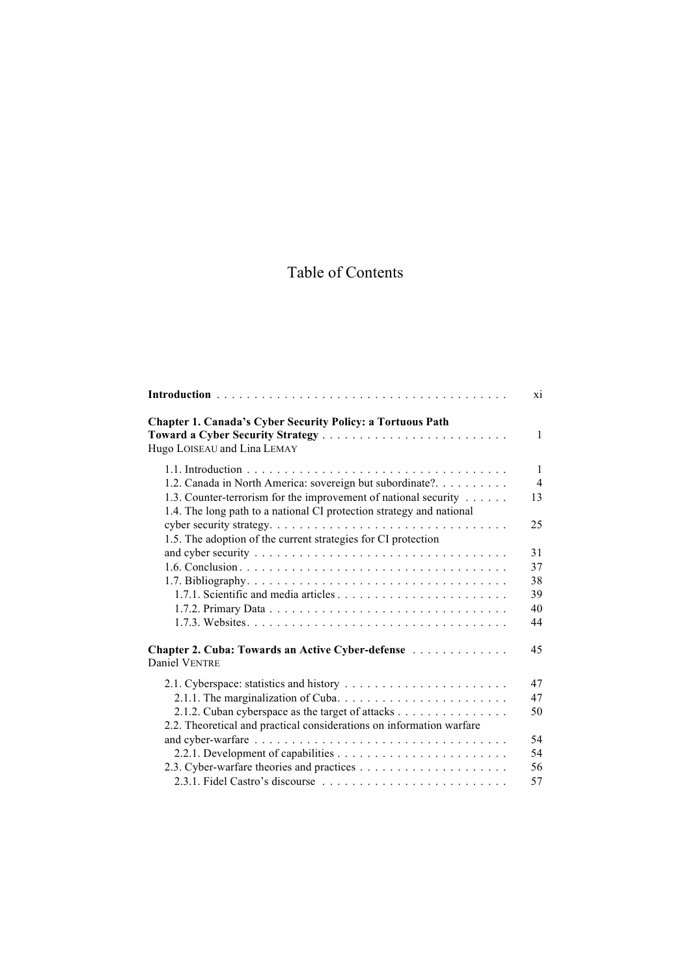## Table of Contents

|                                                                                                                                                                           | X1             |
|---------------------------------------------------------------------------------------------------------------------------------------------------------------------------|----------------|
| <b>Chapter 1. Canada's Cyber Security Policy: a Tortuous Path</b><br>Hugo LOISEAU and Lina LEMAY                                                                          | $\mathbf{1}$   |
|                                                                                                                                                                           | $\mathbf{1}$   |
| 1.2. Canada in North America: sovereign but subordinate?.                                                                                                                 | $\overline{4}$ |
| 1.3. Counter-terrorism for the improvement of national security<br>1.4. The long path to a national CI protection strategy and national                                   | 13             |
| cyber security strategy. $\dots \dots \dots \dots \dots \dots \dots \dots \dots \dots \dots \dots \dots$<br>1.5. The adoption of the current strategies for CI protection | 25             |
|                                                                                                                                                                           | 31             |
|                                                                                                                                                                           | 37             |
|                                                                                                                                                                           | 38             |
|                                                                                                                                                                           | 39             |
|                                                                                                                                                                           | 40             |
|                                                                                                                                                                           | 44             |
| Chapter 2. Cuba: Towards an Active Cyber-defense<br>Daniel VENTRE                                                                                                         | 45             |
|                                                                                                                                                                           | 47             |
|                                                                                                                                                                           | 47             |
| 2.1.2. Cuban cyberspace as the target of attacks                                                                                                                          | 50             |
| 2.2. Theoretical and practical considerations on information warfare                                                                                                      |                |
|                                                                                                                                                                           | 54             |
|                                                                                                                                                                           | 54             |
|                                                                                                                                                                           | 56             |
|                                                                                                                                                                           | 57             |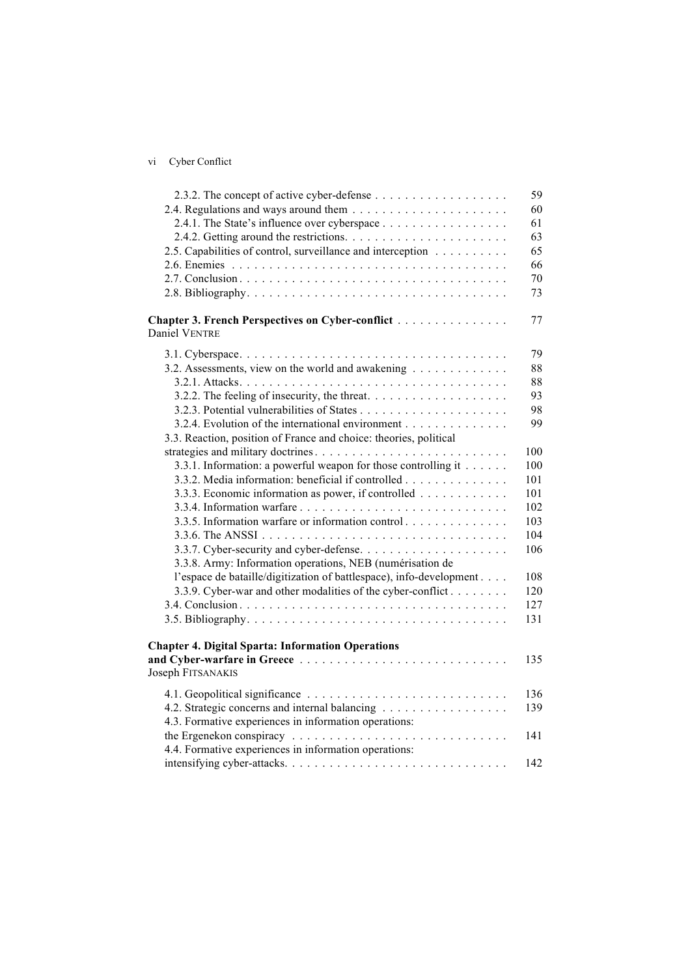| V1 | Cyber Conflict |
|----|----------------|

|                                                                                           | 59  |
|-------------------------------------------------------------------------------------------|-----|
|                                                                                           | 60  |
| 2.4.1. The State's influence over cyberspace                                              | 61  |
|                                                                                           | 63  |
| 2.5. Capabilities of control, surveillance and interception                               | 65  |
|                                                                                           | 66  |
|                                                                                           | 70  |
|                                                                                           | 73  |
| Chapter 3. French Perspectives on Cyber-conflict<br>Daniel VENTRE                         | 77  |
|                                                                                           | 79  |
| 3.2. Assessments, view on the world and awakening                                         | 88  |
|                                                                                           | 88  |
| 3.2.2. The feeling of insecurity, the threat. $\dots \dots \dots \dots \dots \dots \dots$ | 93  |
|                                                                                           | 98  |
| 3.2.4. Evolution of the international environment                                         | 99  |
| 3.3. Reaction, position of France and choice: theories, political                         |     |
|                                                                                           | 100 |
| 3.3.1. Information: a powerful weapon for those controlling it                            | 100 |
| 3.3.2. Media information: beneficial if controlled                                        | 101 |
| 3.3.3. Economic information as power, if controlled                                       | 101 |
|                                                                                           | 102 |
| 3.3.5. Information warfare or information control                                         | 103 |
|                                                                                           | 104 |
|                                                                                           | 106 |
| 3.3.8. Army: Information operations, NEB (numérisation de                                 |     |
| l'espace de bataille/digitization of battlespace), info-development                       | 108 |
| 3.3.9. Cyber-war and other modalities of the cyber-conflict                               | 120 |
|                                                                                           | 127 |
|                                                                                           | 131 |
| <b>Chapter 4. Digital Sparta: Information Operations</b>                                  |     |
|                                                                                           | 135 |
| Joseph FITSANAKIS                                                                         |     |
|                                                                                           | 136 |
| 4.2. Strategic concerns and internal balancing                                            | 139 |
| 4.3. Formative experiences in information operations:                                     |     |
|                                                                                           | 141 |
| 4.4. Formative experiences in information operations:                                     |     |
|                                                                                           | 142 |
|                                                                                           |     |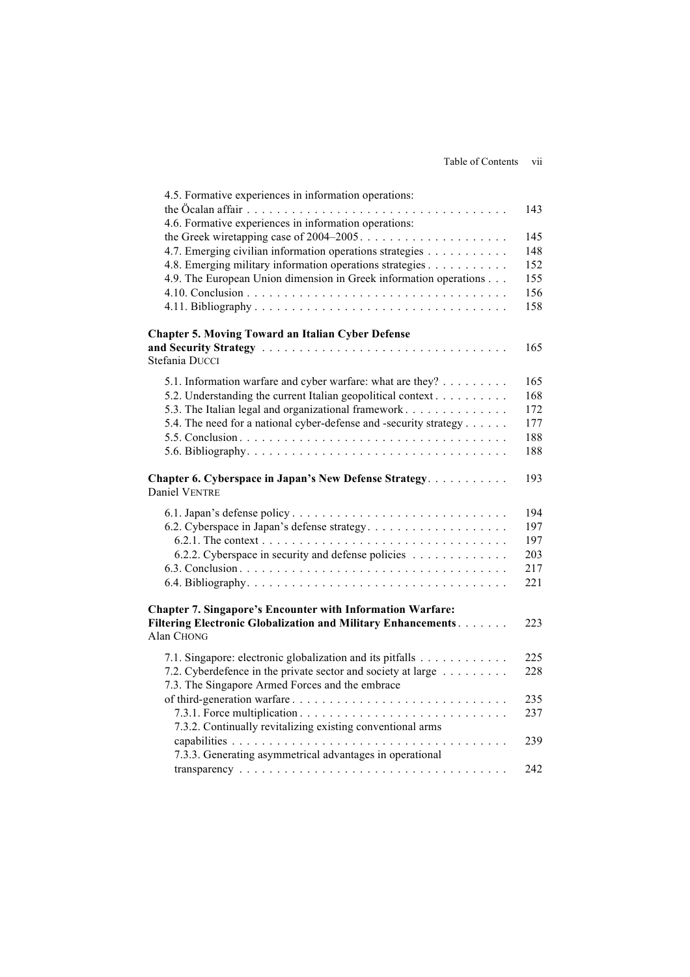| 4.5. Formative experiences in information operations:                          |     |
|--------------------------------------------------------------------------------|-----|
|                                                                                | 143 |
| 4.6. Formative experiences in information operations:                          |     |
|                                                                                | 145 |
| 4.7. Emerging civilian information operations strategies                       | 148 |
| 4.8. Emerging military information operations strategies                       | 152 |
| 4.9. The European Union dimension in Greek information operations              | 155 |
|                                                                                | 156 |
|                                                                                | 158 |
| <b>Chapter 5. Moving Toward an Italian Cyber Defense</b>                       |     |
|                                                                                | 165 |
| Stefania DUCCI                                                                 |     |
| 5.1. Information warfare and cyber warfare: what are they?                     | 165 |
| 5.2. Understanding the current Italian geopolitical context                    | 168 |
| 5.3. The Italian legal and organizational framework                            | 172 |
| 5.4. The need for a national cyber-defense and -security strategy              | 177 |
|                                                                                | 188 |
|                                                                                | 188 |
| Chapter 6. Cyberspace in Japan's New Defense Strategy.<br><b>Daniel VENTRE</b> | 193 |
|                                                                                | 194 |
| 6.2. Cyberspace in Japan's defense strategy                                    | 197 |
|                                                                                | 197 |
| 6.2.2. Cyberspace in security and defense policies                             | 203 |
|                                                                                | 217 |
|                                                                                | 221 |
| <b>Chapter 7. Singapore's Encounter with Information Warfare:</b>              |     |
| Filtering Electronic Globalization and Military Enhancements<br>Alan CHONG     | 223 |
| 7.1. Singapore: electronic globalization and its pitfalls                      | 225 |
| 7.2. Cyberdefence in the private sector and society at large                   | 228 |
| 7.3. The Singapore Armed Forces and the embrace                                |     |
| of third-generation warfare                                                    | 235 |
|                                                                                | 237 |
| 7.3.2. Continually revitalizing existing conventional arms                     |     |
| 7.3.3. Generating asymmetrical advantages in operational                       | 239 |
|                                                                                | 242 |
|                                                                                |     |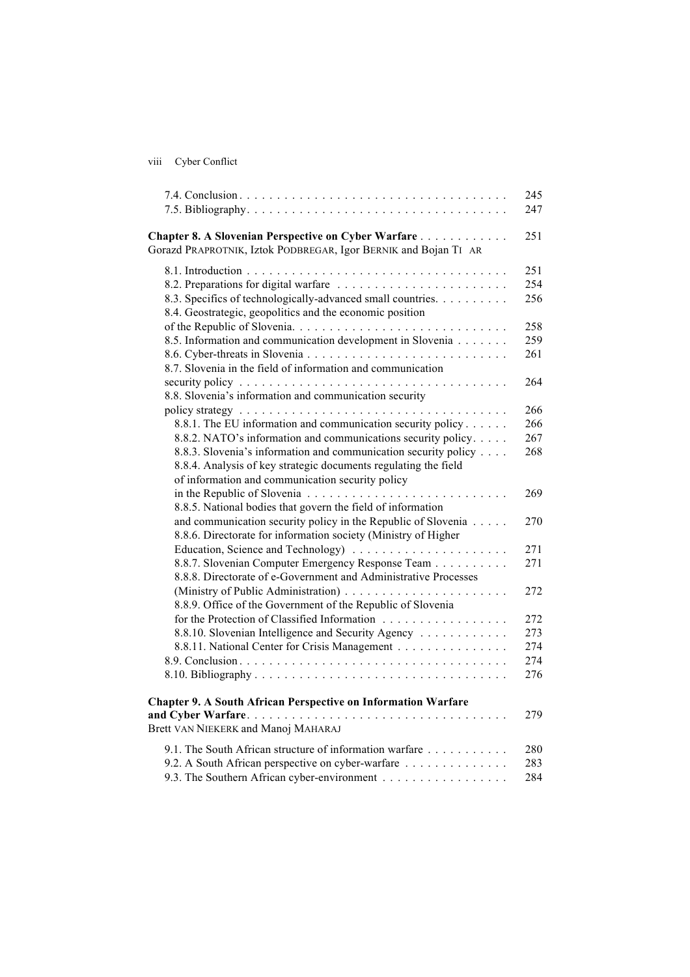viii Cyber Conflict

|                                                                                                                                  | 245        |
|----------------------------------------------------------------------------------------------------------------------------------|------------|
|                                                                                                                                  | 247        |
| Chapter 8. A Slovenian Perspective on Cyber Warfare                                                                              | 251        |
| Gorazd PRAPROTNIK, Iztok PODBREGAR, Igor BERNIK and Bojan TI AR                                                                  |            |
|                                                                                                                                  | 251        |
|                                                                                                                                  | 254        |
| 8.3. Specifics of technologically-advanced small countries.<br>8.4. Geostrategic, geopolitics and the economic position          | 256        |
|                                                                                                                                  | 258        |
| 8.5. Information and communication development in Slovenia                                                                       | 259        |
|                                                                                                                                  | 261        |
| 8.7. Slovenia in the field of information and communication                                                                      |            |
|                                                                                                                                  | 264        |
| 8.8. Slovenia's information and communication security                                                                           |            |
|                                                                                                                                  | 266<br>266 |
| 8.8.1. The EU information and communication security policy                                                                      | 267        |
| 8.8.2. NATO's information and communications security policy.<br>8.8.3. Slovenia's information and communication security policy | 268        |
| 8.8.4. Analysis of key strategic documents regulating the field                                                                  |            |
| of information and communication security policy                                                                                 |            |
|                                                                                                                                  | 269        |
| 8.8.5. National bodies that govern the field of information                                                                      |            |
| and communication security policy in the Republic of Slovenia                                                                    | 270        |
| 8.8.6. Directorate for information society (Ministry of Higher                                                                   |            |
|                                                                                                                                  | 271        |
| 8.8.7. Slovenian Computer Emergency Response Team                                                                                | 271        |
| 8.8.8. Directorate of e-Government and Administrative Processes                                                                  |            |
|                                                                                                                                  | 272        |
| 8.8.9. Office of the Government of the Republic of Slovenia                                                                      |            |
| for the Protection of Classified Information                                                                                     | 272        |
| 8.8.10. Slovenian Intelligence and Security Agency                                                                               | 273        |
| 8.8.11. National Center for Crisis Management                                                                                    | 274        |
|                                                                                                                                  | 274        |
|                                                                                                                                  | 276        |
| <b>Chapter 9. A South African Perspective on Information Warfare</b>                                                             |            |
|                                                                                                                                  | 279        |
| Brett VAN NIEKERK and Manoj MAHARAJ                                                                                              |            |
| 9.1. The South African structure of information warfare                                                                          | 280        |
| 9.2. A South African perspective on cyber-warfare                                                                                | 283        |
| 9.3. The Southern African cyber-environment                                                                                      | 284        |